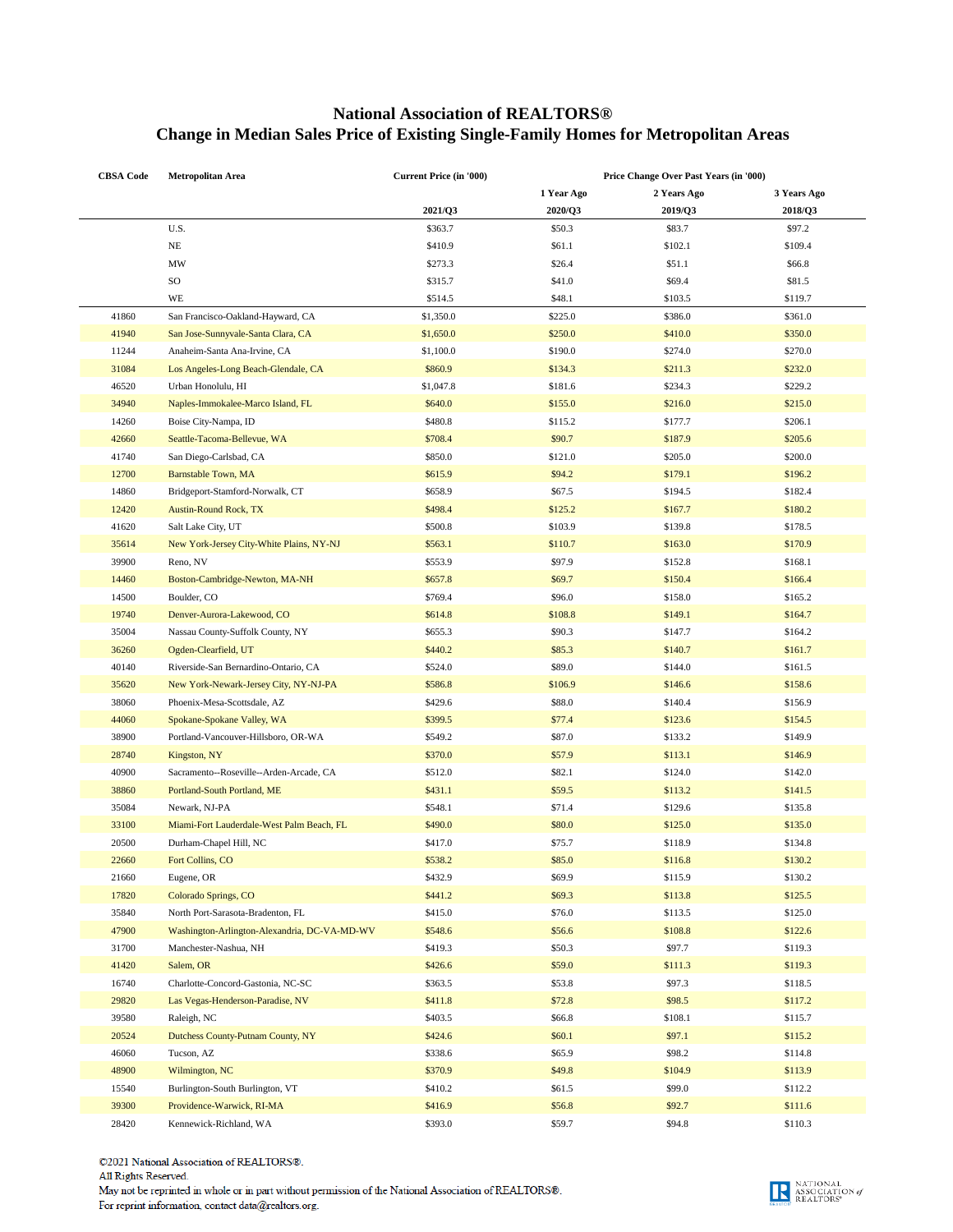## **National Association of REALTORS® Change in Median Sales Price of Existing Single-Family Homes for Metropolitan Areas**

| <b>CBSA Code</b> | <b>Metropolitan Area</b>                     | Current Price (in '000) | Price Change Over Past Years (in '000) |             |             |
|------------------|----------------------------------------------|-------------------------|----------------------------------------|-------------|-------------|
|                  |                                              |                         | 1 Year Ago                             | 2 Years Ago | 3 Years Ago |
|                  |                                              | 2021/Q3                 | 2020/Q3                                | 2019/Q3     | 2018/Q3     |
|                  | U.S.                                         | \$363.7                 | \$50.3                                 | \$83.7      | \$97.2      |
|                  | NE                                           | \$410.9                 | \$61.1                                 | \$102.1     | \$109.4     |
|                  | MW                                           | \$273.3                 | \$26.4                                 | \$51.1      | \$66.8      |
|                  | SO                                           | \$315.7                 | \$41.0                                 | \$69.4      | \$81.5      |
|                  | WE                                           | \$514.5                 | \$48.1                                 | \$103.5     | \$119.7     |
| 41860            | San Francisco-Oakland-Hayward, CA            | \$1,350.0               | \$225.0                                | \$386.0     | \$361.0     |
| 41940            | San Jose-Sunnyvale-Santa Clara, CA           | \$1,650.0               | \$250.0                                | \$410.0     | \$350.0     |
| 11244            | Anaheim-Santa Ana-Irvine, CA                 | \$1,100.0               | \$190.0                                | \$274.0     | \$270.0     |
| 31084            | Los Angeles-Long Beach-Glendale, CA          | \$860.9                 | \$134.3                                | \$211.3     | \$232.0     |
| 46520            | Urban Honolulu, HI                           | \$1,047.8               | \$181.6                                | \$234.3     | \$229.2     |
| 34940            | Naples-Immokalee-Marco Island, FL            | \$640.0                 | \$155.0                                | \$216.0     | \$215.0     |
| 14260            | Boise City-Nampa, ID                         | \$480.8                 | \$115.2                                | \$177.7     | \$206.1     |
| 42660            | Seattle-Tacoma-Bellevue, WA                  | \$708.4                 | \$90.7                                 | \$187.9     | \$205.6     |
| 41740            | San Diego-Carlsbad, CA                       | \$850.0                 | \$121.0                                | \$205.0     | \$200.0     |
| 12700            | Barnstable Town, MA                          | \$615.9                 | \$94.2                                 | \$179.1     | \$196.2     |
| 14860            | Bridgeport-Stamford-Norwalk, CT              | \$658.9                 | \$67.5                                 | \$194.5     | \$182.4     |
| 12420            | <b>Austin-Round Rock, TX</b>                 | \$498.4                 | \$125.2                                | \$167.7     | \$180.2     |
| 41620            | Salt Lake City, UT                           | \$500.8                 | \$103.9                                | \$139.8     | \$178.5     |
| 35614            | New York-Jersey City-White Plains, NY-NJ     | \$563.1                 | \$110.7                                | \$163.0     | \$170.9     |
| 39900            | Reno, NV                                     | \$553.9                 | \$97.9                                 | \$152.8     | \$168.1     |
| 14460            | Boston-Cambridge-Newton, MA-NH               |                         |                                        |             |             |
|                  |                                              | \$657.8                 | \$69.7                                 | \$150.4     | \$166.4     |
| 14500            | Boulder, CO                                  | \$769.4                 | \$96.0                                 | \$158.0     | \$165.2     |
| 19740            | Denver-Aurora-Lakewood, CO                   | \$614.8                 | \$108.8                                | \$149.1     | \$164.7     |
| 35004            | Nassau County-Suffolk County, NY             | \$655.3                 | \$90.3                                 | \$147.7     | \$164.2     |
| 36260            | Ogden-Clearfield, UT                         | \$440.2                 | \$85.3                                 | \$140.7     | \$161.7     |
| 40140            | Riverside-San Bernardino-Ontario, CA         | \$524.0                 | \$89.0                                 | \$144.0     | \$161.5     |
| 35620            | New York-Newark-Jersey City, NY-NJ-PA        | \$586.8                 | \$106.9                                | \$146.6     | \$158.6     |
| 38060            | Phoenix-Mesa-Scottsdale, AZ                  | \$429.6                 | \$88.0                                 | \$140.4     | \$156.9     |
| 44060            | Spokane-Spokane Valley, WA                   | \$399.5                 | \$77.4                                 | \$123.6     | \$154.5     |
| 38900            | Portland-Vancouver-Hillsboro, OR-WA          | \$549.2                 | \$87.0                                 | \$133.2     | \$149.9     |
| 28740            | Kingston, NY                                 | \$370.0                 | \$57.9                                 | \$113.1     | \$146.9     |
| 40900            | Sacramento--Roseville--Arden-Arcade, CA      | \$512.0                 | \$82.1                                 | \$124.0     | \$142.0     |
| 38860            | Portland-South Portland, ME                  | \$431.1                 | \$59.5                                 | \$113.2     | \$141.5     |
| 35084            | Newark, NJ-PA                                | \$548.1                 | \$71.4                                 | \$129.6     | \$135.8     |
| 33100            | Miami-Fort Lauderdale-West Palm Beach, FL    | \$490.0                 | \$80.0                                 | \$125.0     | \$135.0     |
| 20500            | Durham-Chapel Hill, NC                       | \$417.0                 | \$75.7                                 | \$118.9     | \$134.8     |
| 22660            | Fort Collins, CO                             | \$538.2                 | \$85.0                                 | \$116.8     | \$130.2     |
| 21660            | Eugene, OR                                   | \$432.9                 | \$69.9                                 | \$115.9     | \$130.2     |
| 17820            | <b>Colorado Springs, CO</b>                  | \$441.2                 | \$69.3                                 | \$113.8     | \$125.5     |
| 35840            | North Port-Sarasota-Bradenton, FL            | \$415.0                 | \$76.0                                 | \$113.5     | \$125.0     |
| 47900            | Washington-Arlington-Alexandria, DC-VA-MD-WV | \$548.6                 | \$56.6                                 | \$108.8     | \$122.6     |
| 31700            | Manchester-Nashua, NH                        | \$419.3                 | \$50.3                                 | \$97.7      | \$119.3     |
| 41420            | Salem, OR                                    | \$426.6                 | \$59.0                                 | \$111.3     | \$119.3     |
| 16740            | Charlotte-Concord-Gastonia, NC-SC            | \$363.5                 | \$53.8                                 | \$97.3      | \$118.5     |
| 29820            | Las Vegas-Henderson-Paradise, NV             | \$411.8                 | \$72.8                                 | \$98.5      | \$117.2     |
| 39580            | Raleigh, NC                                  | \$403.5                 | \$66.8                                 | \$108.1     | \$115.7     |
| 20524            | Dutchess County-Putnam County, NY            | \$424.6                 | \$60.1                                 | \$97.1      | \$115.2     |
| 46060            | Tucson, AZ                                   | \$338.6                 | \$65.9                                 | \$98.2      | \$114.8     |
| 48900            | Wilmington, NC                               | \$370.9                 | \$49.8                                 | \$104.9     | \$113.9     |
| 15540            | Burlington-South Burlington, VT              | \$410.2                 | \$61.5                                 | \$99.0      | \$112.2     |
| 39300            | Providence-Warwick, RI-MA                    | \$416.9                 | \$56.8                                 | \$92.7      | \$111.6     |
| 28420            | Kennewick-Richland, WA                       | \$393.0                 | \$59.7                                 | \$94.8      | \$110.3     |

©2021 National Association of REALTORS®. All Rights Reserved.

May not be reprinted in whole or in part without permission of the National Association of REALTORS®. For reprint information, contact data@realtors.org.

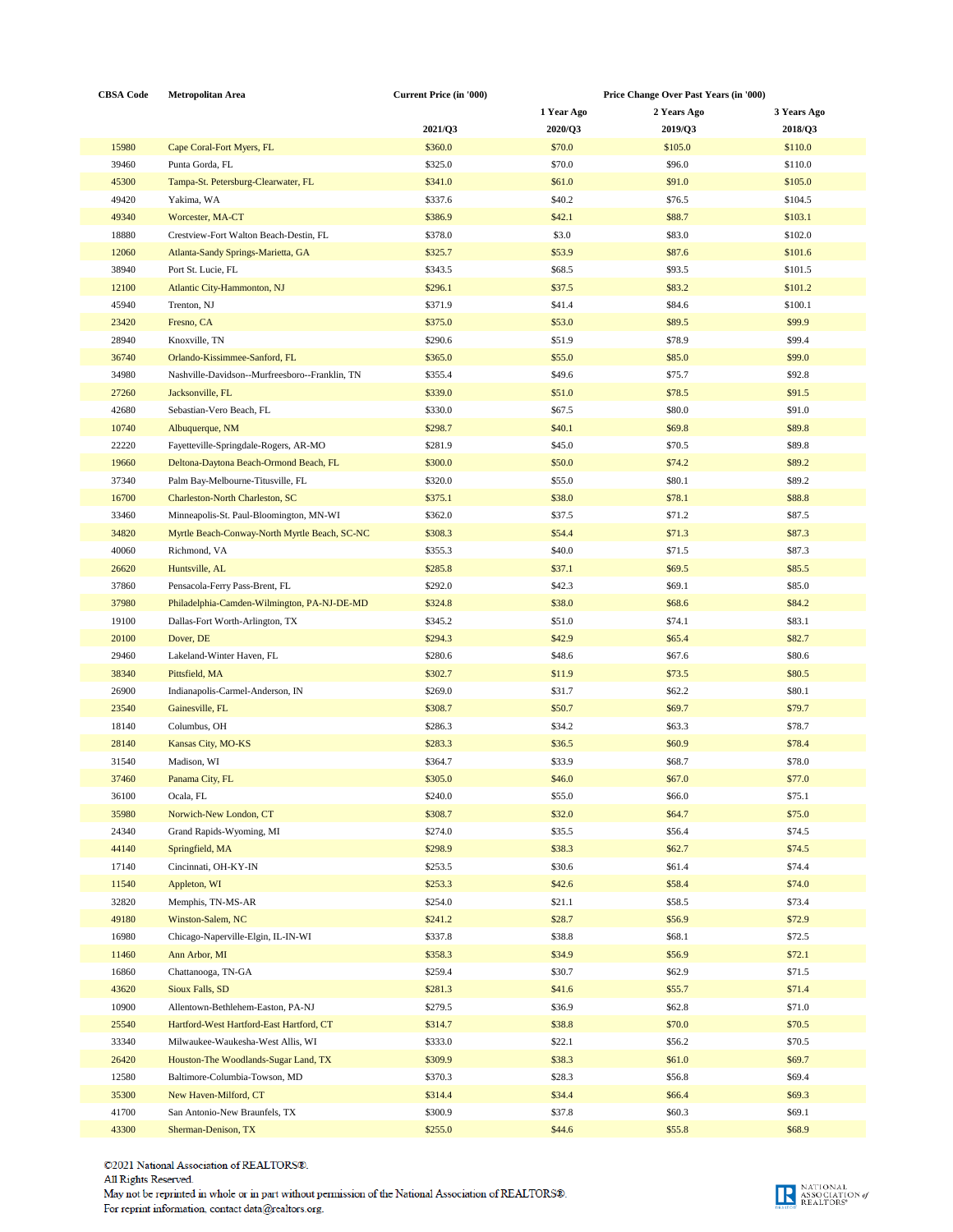| <b>CBSA Code</b> | <b>Metropolitan Area</b>                       | <b>Current Price (in '000)</b> |            | Price Change Over Past Years (in '000) |             |  |
|------------------|------------------------------------------------|--------------------------------|------------|----------------------------------------|-------------|--|
|                  |                                                |                                | 1 Year Ago | 2 Years Ago                            | 3 Years Ago |  |
|                  |                                                | 2021/Q3                        | 2020/Q3    | 2019/Q3                                | 2018/Q3     |  |
| 15980            | Cape Coral-Fort Myers, FL                      | \$360.0                        | \$70.0     | \$105.0                                | \$110.0     |  |
| 39460            | Punta Gorda, FL                                | \$325.0                        | \$70.0     | \$96.0                                 | \$110.0     |  |
| 45300            | Tampa-St. Petersburg-Clearwater, FL            | \$341.0                        | \$61.0     | \$91.0                                 | \$105.0     |  |
| 49420            | Yakima, WA                                     | \$337.6                        | \$40.2     | \$76.5                                 | \$104.5     |  |
| 49340            | Worcester, MA-CT                               | \$386.9                        | \$42.1     | \$88.7                                 | \$103.1     |  |
| 18880            | Crestview-Fort Walton Beach-Destin, FL         | \$378.0                        | \$3.0      | \$83.0                                 | \$102.0     |  |
|                  |                                                |                                |            |                                        |             |  |
| 12060            | Atlanta-Sandy Springs-Marietta, GA             | \$325.7                        | \$53.9     | \$87.6                                 | \$101.6     |  |
| 38940            | Port St. Lucie, FL                             | \$343.5                        | \$68.5     | \$93.5                                 | \$101.5     |  |
| 12100            | Atlantic City-Hammonton, NJ                    | \$296.1                        | \$37.5     | \$83.2                                 | \$101.2     |  |
| 45940            | Trenton, NJ                                    | \$371.9                        | \$41.4     | \$84.6                                 | \$100.1     |  |
| 23420            | Fresno, CA                                     | \$375.0                        | \$53.0     | \$89.5                                 | \$99.9      |  |
| 28940            | Knoxville, TN                                  | \$290.6                        | \$51.9     | \$78.9                                 | \$99.4      |  |
| 36740            | Orlando-Kissimmee-Sanford, FL                  | \$365.0                        | \$55.0     | \$85.0                                 | \$99.0      |  |
| 34980            | Nashville-Davidson--Murfreesboro--Franklin, TN | \$355.4                        | \$49.6     | \$75.7                                 | \$92.8      |  |
| 27260            | Jacksonville, FL                               | \$339.0                        | \$51.0     | \$78.5                                 | \$91.5      |  |
| 42680            | Sebastian-Vero Beach, FL                       | \$330.0                        | \$67.5     | \$80.0                                 | \$91.0      |  |
| 10740            | Albuquerque, NM                                | \$298.7                        | \$40.1     | \$69.8                                 | \$89.8      |  |
| 22220            | Fayetteville-Springdale-Rogers, AR-MO          | \$281.9                        | \$45.0     | \$70.5                                 | \$89.8      |  |
| 19660            | Deltona-Daytona Beach-Ormond Beach, FL         | \$300.0                        | \$50.0     | \$74.2                                 | \$89.2      |  |
| 37340            | Palm Bay-Melbourne-Titusville, FL              | \$320.0                        | \$55.0     | \$80.1                                 | \$89.2      |  |
| 16700            | Charleston-North Charleston, SC                | \$375.1                        | \$38.0     | \$78.1                                 | \$88.8      |  |
| 33460            | Minneapolis-St. Paul-Bloomington, MN-WI        | \$362.0                        | \$37.5     | \$71.2                                 | \$87.5      |  |
| 34820            | Myrtle Beach-Conway-North Myrtle Beach, SC-NC  | \$308.3                        | \$54.4     | \$71.3                                 | \$87.3      |  |
| 40060            | Richmond, VA                                   | \$355.3                        | \$40.0     | \$71.5                                 | \$87.3      |  |
| 26620            | Huntsville, AL                                 | \$285.8                        | \$37.1     | \$69.5                                 | \$85.5      |  |
|                  |                                                |                                |            |                                        |             |  |
| 37860            | Pensacola-Ferry Pass-Brent, FL                 | \$292.0                        | \$42.3     | \$69.1                                 | \$85.0      |  |
| 37980            | Philadelphia-Camden-Wilmington, PA-NJ-DE-MD    | \$324.8                        | \$38.0     | \$68.6                                 | \$84.2      |  |
| 19100            | Dallas-Fort Worth-Arlington, TX                | \$345.2                        | \$51.0     | \$74.1                                 | \$83.1      |  |
| 20100            | Dover, DE                                      | \$294.3                        | \$42.9     | \$65.4                                 | \$82.7      |  |
| 29460            | Lakeland-Winter Haven, FL                      | \$280.6                        | \$48.6     | \$67.6                                 | \$80.6      |  |
| 38340            | Pittsfield, MA                                 | \$302.7                        | \$11.9     | \$73.5                                 | \$80.5      |  |
| 26900            | Indianapolis-Carmel-Anderson, IN               | \$269.0                        | \$31.7     | \$62.2                                 | \$80.1      |  |
| 23540            | Gainesville, FL                                | \$308.7                        | \$50.7     | \$69.7                                 | \$79.7      |  |
| 18140            | Columbus, OH                                   | \$286.3                        | \$34.2     | \$63.3                                 | \$78.7      |  |
| 28140            | Kansas City, MO-KS                             | \$283.3                        | \$36.5     | \$60.9                                 | \$78.4      |  |
| 31540            | Madison, WI                                    | \$364.7                        | \$33.9     | \$68.7                                 | \$78.0      |  |
| 37460            | Panama City, FL                                | \$305.0                        | \$46.0     | \$67.0                                 | \$77.0      |  |
| 36100            | Ocala, FL                                      | \$240.0                        | \$55.0     | \$66.0                                 | \$75.1      |  |
| 35980            | Norwich-New London, CT                         | \$308.7                        | \$32.0     | \$64.7                                 | \$75.0      |  |
| 24340            | Grand Rapids-Wyoming, MI                       | \$274.0                        | \$35.5     | \$56.4                                 | \$74.5      |  |
| 44140            | Springfield, MA                                | \$298.9                        | \$38.3     | \$62.7                                 | \$74.5      |  |
| 17140            | Cincinnati, OH-KY-IN                           | \$253.5                        | \$30.6     | \$61.4                                 | \$74.4      |  |
| 11540            | Appleton, WI                                   | \$253.3                        | \$42.6     | \$58.4                                 | \$74.0      |  |
| 32820            | Memphis, TN-MS-AR                              | \$254.0                        | \$21.1     | \$58.5                                 | \$73.4      |  |
| 49180            | Winston-Salem, NC                              | \$241.2                        | \$28.7     | \$56.9                                 | \$72.9      |  |
| 16980            | Chicago-Naperville-Elgin, IL-IN-WI             | \$337.8                        | \$38.8     | \$68.1                                 | \$72.5      |  |
| 11460            | Ann Arbor, MI                                  | \$358.3                        | \$34.9     | \$56.9                                 | \$72.1      |  |
|                  |                                                |                                |            |                                        |             |  |
| 16860            | Chattanooga, TN-GA                             | \$259.4                        | \$30.7     | \$62.9                                 | \$71.5      |  |
| 43620            | Sioux Falls, SD                                | \$281.3                        | \$41.6     | \$55.7                                 | \$71.4      |  |
| 10900            | Allentown-Bethlehem-Easton, PA-NJ              | \$279.5                        | \$36.9     | \$62.8                                 | \$71.0      |  |
| 25540            | Hartford-West Hartford-East Hartford, CT       | \$314.7                        | \$38.8     | \$70.0                                 | \$70.5      |  |
| 33340            | Milwaukee-Waukesha-West Allis, WI              | \$333.0                        | \$22.1     | \$56.2                                 | \$70.5      |  |
| 26420            | Houston-The Woodlands-Sugar Land, TX           | \$309.9                        | \$38.3     | \$61.0                                 | \$69.7      |  |
| 12580            | Baltimore-Columbia-Towson, MD                  | \$370.3                        | \$28.3     | \$56.8                                 | \$69.4      |  |
| 35300            | New Haven-Milford, CT                          | \$314.4                        | \$34.4     | \$66.4                                 | \$69.3      |  |
| 41700            | San Antonio-New Braunfels, TX                  | \$300.9                        | \$37.8     | \$60.3                                 | \$69.1      |  |
| 43300            | Sherman-Denison, TX                            | \$255.0                        | \$44.6     | \$55.8                                 | \$68.9      |  |

©2021 National Association of REALTORS®. All Rights Reserved. May not be reprinted in whole or in part without permission of the National Association of REALTORS®. For reprint information, contact  $\text{data}(\overline{\mathcal{Q}}\text{realtors}.\text{org.}$ 

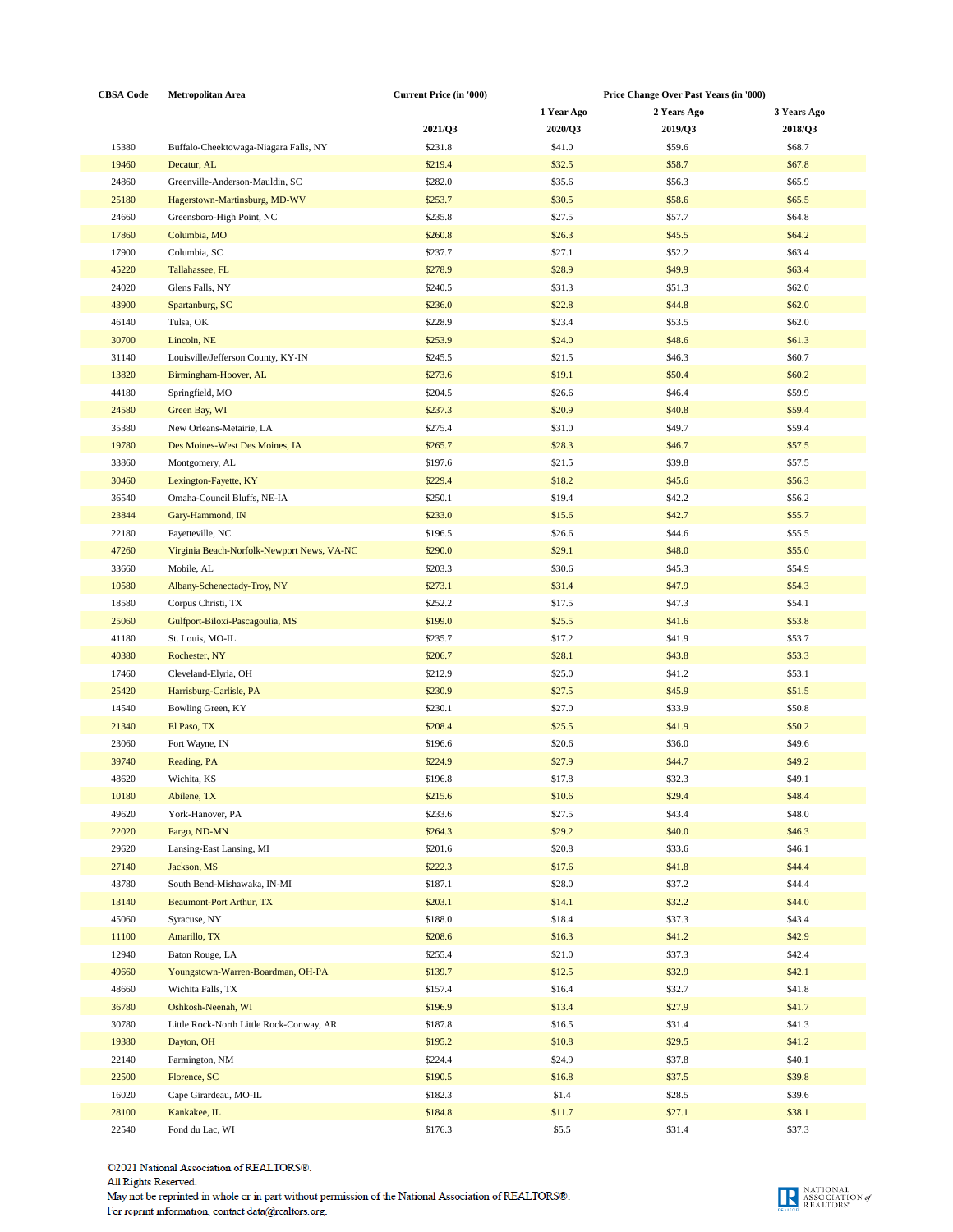| <b>CBSA Code</b> | <b>Metropolitan Area</b>                   | <b>Current Price (in '000)</b> | Price Change Over Past Years (in '000) |             |                  |
|------------------|--------------------------------------------|--------------------------------|----------------------------------------|-------------|------------------|
|                  |                                            |                                | 1 Year Ago                             | 2 Years Ago | 3 Years Ago      |
|                  |                                            | 2021/Q3                        | 2020/Q3                                | 2019/Q3     | 2018/Q3          |
| 15380            | Buffalo-Cheektowaga-Niagara Falls, NY      | \$231.8                        | \$41.0                                 | \$59.6      | \$68.7           |
| 19460            | Decatur, AL                                | \$219.4                        | \$32.5                                 | \$58.7      | \$67.8           |
| 24860            | Greenville-Anderson-Mauldin, SC            | \$282.0                        | \$35.6                                 | \$56.3      | \$65.9           |
| 25180            | Hagerstown-Martinsburg, MD-WV              | \$253.7                        | \$30.5                                 | \$58.6      | \$65.5           |
| 24660            | Greensboro-High Point, NC                  | \$235.8                        | \$27.5                                 | \$57.7      | \$64.8           |
| 17860            | Columbia, MO                               | \$260.8                        | \$26.3                                 | \$45.5      | \$64.2           |
| 17900            |                                            | \$237.7                        | \$27.1                                 | \$52.2      | \$63.4           |
|                  | Columbia, SC                               |                                |                                        |             |                  |
| 45220            | Tallahassee, FL                            | \$278.9                        | \$28.9                                 | \$49.9      | \$63.4           |
| 24020            | Glens Falls, NY                            | \$240.5                        | \$31.3                                 | \$51.3      | \$62.0           |
| 43900            | Spartanburg, SC                            | \$236.0                        | \$22.8                                 | \$44.8      | \$62.0           |
| 46140            | Tulsa, OK                                  | \$228.9                        | \$23.4                                 | \$53.5      | \$62.0           |
| 30700            | Lincoln, NE                                | \$253.9                        | \$24.0                                 | \$48.6      | \$61.3\$         |
| 31140            | Louisville/Jefferson County, KY-IN         | \$245.5                        | \$21.5                                 | \$46.3      | \$60.7           |
| 13820            | Birmingham-Hoover, AL                      | \$273.6                        | \$19.1                                 | \$50.4      | \$60.2           |
| 44180            | Springfield, MO                            | \$204.5                        | \$26.6                                 | \$46.4      | \$59.9           |
| 24580            | Green Bay, WI                              | \$237.3                        | \$20.9                                 | \$40.8      | \$59.4           |
| 35380            | New Orleans-Metairie, LA                   | \$275.4                        | \$31.0                                 | \$49.7      | \$59.4           |
| 19780            | Des Moines-West Des Moines, IA             | \$265.7                        | \$28.3                                 | \$46.7      | \$57.5           |
| 33860            | Montgomery, AL                             | \$197.6                        | \$21.5                                 | \$39.8      | \$57.5           |
| 30460            | Lexington-Fayette, KY                      | \$229.4                        | \$18.2                                 | \$45.6      | \$56.3           |
| 36540            | Omaha-Council Bluffs, NE-IA                | \$250.1                        | \$19.4                                 | \$42.2      | \$56.2           |
| 23844            | Gary-Hammond, IN                           | \$233.0                        | \$15.6                                 | \$42.7      | \$55.7           |
| 22180            | Fayetteville, NC                           | \$196.5                        | \$26.6                                 | \$44.6      | \$55.5           |
| 47260            | Virginia Beach-Norfolk-Newport News, VA-NC | \$290.0                        | \$29.1                                 | \$48.0      | \$55.0           |
| 33660            | Mobile, AL                                 | \$203.3                        | \$30.6                                 | \$45.3      | \$54.9           |
| 10580            | Albany-Schenectady-Troy, NY                | \$273.1                        | \$31.4                                 | \$47.9      | \$54.3           |
| 18580            | Corpus Christi, TX                         | \$252.2                        | \$17.5                                 | \$47.3      | \$54.1           |
| 25060            | Gulfport-Biloxi-Pascagoulia, MS            | \$199.0                        | \$25.5                                 | \$41.6      | \$53.8           |
| 41180            | St. Louis, MO-IL                           | \$235.7                        | \$17.2                                 | \$41.9      | \$53.7           |
| 40380            | Rochester, NY                              | \$206.7                        | \$28.1                                 | \$43.8      | \$53.3           |
| 17460            | Cleveland-Elyria, OH                       | \$212.9                        | \$25.0                                 | \$41.2      | \$53.1           |
| 25420            | Harrisburg-Carlisle, PA                    | \$230.9                        | \$27.5                                 | \$45.9      | \$51.5           |
| 14540            | Bowling Green, KY                          | \$230.1                        | \$27.0                                 | \$33.9      | \$50.8           |
| 21340            | El Paso, TX                                | \$208.4                        | \$25.5                                 | \$41.9      | \$50.2           |
| 23060            | Fort Wayne, IN                             | \$196.6                        | \$20.6                                 | \$36.0      | \$49.6           |
| 39740            | Reading, PA                                | \$224.9                        | \$27.9                                 | \$44.7      | \$49.2           |
| 48620            | Wichita, KS                                | \$196.8                        | \$17.8                                 | \$32.3      | \$49.1           |
|                  |                                            |                                |                                        |             |                  |
| 10180            | Abilene, TX                                | \$215.6<br>\$233.6             | \$10.6<br>\$27.5                       | \$29.4      | \$48.4<br>\$48.0 |
| 49620            | York-Hanover, PA                           |                                |                                        | \$43.4      |                  |
| 22020            | Fargo, ND-MN                               | \$264.3<br>\$201.6             | \$29.2                                 | \$40.0      | \$46.3           |
| 29620            | Lansing-East Lansing, MI                   |                                | \$20.8                                 | \$33.6      | \$46.1           |
| 27140            | Jackson, MS                                | \$222.3                        | \$17.6                                 | \$41.8      | \$44.4           |
| 43780            | South Bend-Mishawaka, IN-MI                | \$187.1                        | \$28.0                                 | \$37.2      | \$44.4           |
| 13140            | <b>Beaumont-Port Arthur, TX</b>            | \$203.1                        | \$14.1                                 | \$32.2      | \$44.0           |
| 45060            | Syracuse, NY                               | \$188.0                        | \$18.4                                 | \$37.3      | \$43.4           |
| 11100            | Amarillo, TX                               | \$208.6                        | \$16.3                                 | \$41.2      | \$42.9           |
| 12940            | Baton Rouge, LA                            | \$255.4                        | \$21.0                                 | \$37.3      | \$42.4           |
| 49660            | Youngstown-Warren-Boardman, OH-PA          | \$139.7                        | \$12.5                                 | \$32.9      | \$42.1           |
| 48660            | Wichita Falls, TX                          | \$157.4                        | \$16.4                                 | \$32.7      | \$41.8           |
| 36780            | Oshkosh-Neenah, WI                         | \$196.9                        | \$13.4                                 | \$27.9      | \$41.7           |
| 30780            | Little Rock-North Little Rock-Conway, AR   | \$187.8                        | \$16.5                                 | \$31.4      | \$41.3           |
| 19380            | Dayton, OH                                 | \$195.2                        | \$10.8                                 | \$29.5      | \$41.2           |
| 22140            | Farmington, NM                             | \$224.4                        | \$24.9                                 | \$37.8      | \$40.1           |
| 22500            | Florence, SC                               | \$190.5                        | \$16.8                                 | \$37.5      | \$39.8           |
| 16020            | Cape Girardeau, MO-IL                      | \$182.3                        | \$1.4                                  | \$28.5      | \$39.6           |
| 28100            | Kankakee, IL                               | \$184.8                        | \$11.7                                 | \$27.1      | \$38.1           |
| 22540            | Fond du Lac, WI                            | \$176.3                        | \$5.5                                  | \$31.4      | \$37.3           |

 $\textcircled{c2021}$  National Association of REALTORS<br> $\textcircled{e}.$  All Rights Reserved. May not be reprinted in whole or in part without permission of the National Association of REALTORS®.<br>For reprint information, contact data@realtors.org.